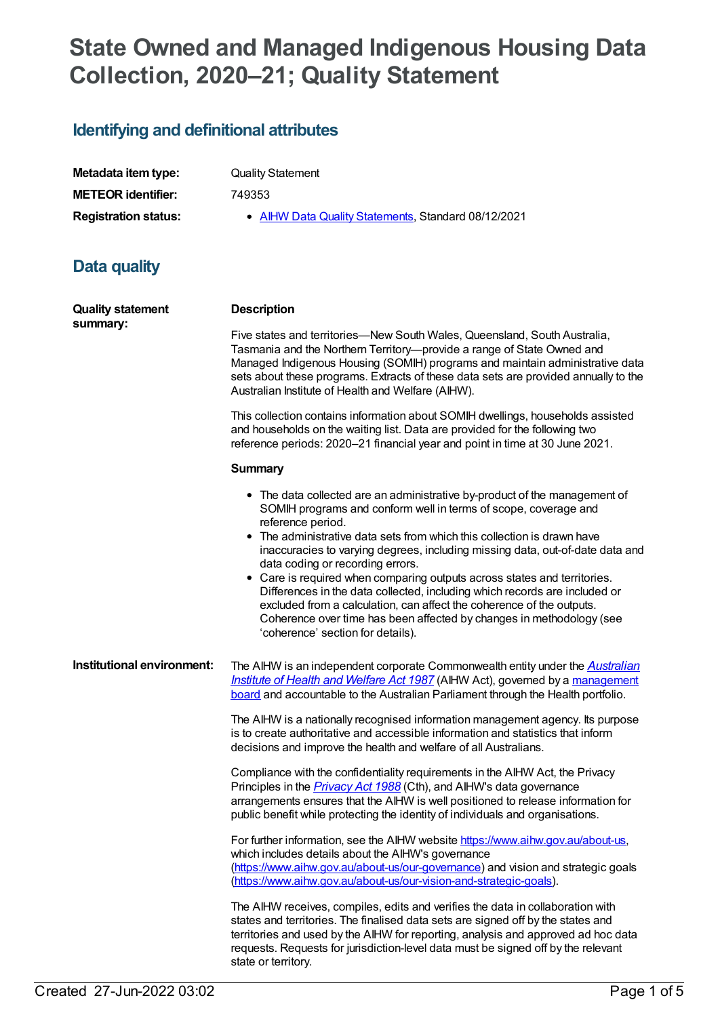# **State Owned and Managed Indigenous Housing Data Collection, 2020–21; Quality Statement**

# **Identifying and definitional attributes**

| Metadata item type:         |
|-----------------------------|
| <b>METEOR identifier:</b>   |
| <b>Registration status:</b> |

**Quality Statement** 

**METEOR identifier:** 749353

**• AIHW Data Quality [Statements](https://meteor.aihw.gov.au/RegistrationAuthority/5), Standard 08/12/2021** 

# **Data quality**

| <b>Quality statement</b><br>summary: | <b>Description</b>                                                                                                                                                                                                                                                                                                                                                                                                                                                                                                                                                                                                                                                                                                 |
|--------------------------------------|--------------------------------------------------------------------------------------------------------------------------------------------------------------------------------------------------------------------------------------------------------------------------------------------------------------------------------------------------------------------------------------------------------------------------------------------------------------------------------------------------------------------------------------------------------------------------------------------------------------------------------------------------------------------------------------------------------------------|
|                                      | Five states and territories—New South Wales, Queensland, South Australia,<br>Tasmania and the Northern Territory--provide a range of State Owned and<br>Managed Indigenous Housing (SOMIH) programs and maintain administrative data<br>sets about these programs. Extracts of these data sets are provided annually to the<br>Australian Institute of Health and Welfare (AIHW).                                                                                                                                                                                                                                                                                                                                  |
|                                      | This collection contains information about SOMIH dwellings, households assisted<br>and households on the waiting list. Data are provided for the following two<br>reference periods: 2020-21 financial year and point in time at 30 June 2021.                                                                                                                                                                                                                                                                                                                                                                                                                                                                     |
|                                      | <b>Summary</b>                                                                                                                                                                                                                                                                                                                                                                                                                                                                                                                                                                                                                                                                                                     |
|                                      | • The data collected are an administrative by-product of the management of<br>SOMIH programs and conform well in terms of scope, coverage and<br>reference period.<br>• The administrative data sets from which this collection is drawn have<br>inaccuracies to varying degrees, including missing data, out-of-date data and<br>data coding or recording errors.<br>• Care is required when comparing outputs across states and territories.<br>Differences in the data collected, including which records are included or<br>excluded from a calculation, can affect the coherence of the outputs.<br>Coherence over time has been affected by changes in methodology (see<br>'coherence' section for details). |
| Institutional environment:           | The AIHW is an independent corporate Commonwealth entity under the <b>Australian</b><br>Institute of Health and Welfare Act 1987 (AIHW Act), governed by a management<br>board and accountable to the Australian Parliament through the Health portfolio.                                                                                                                                                                                                                                                                                                                                                                                                                                                          |
|                                      | The AIHW is a nationally recognised information management agency. Its purpose<br>is to create authoritative and accessible information and statistics that inform<br>decisions and improve the health and welfare of all Australians.                                                                                                                                                                                                                                                                                                                                                                                                                                                                             |
|                                      | Compliance with the confidentiality requirements in the AIHW Act, the Privacy<br>Principles in the <i>Privacy Act 1988</i> (Cth), and AIHW's data governance<br>arrangements ensures that the AIHW is well positioned to release information for<br>public benefit while protecting the identity of individuals and organisations.                                                                                                                                                                                                                                                                                                                                                                                 |
|                                      | For further information, see the AIHW website https://www.aihw.gov.au/about-us,<br>which includes details about the AIHW's governance<br>(https://www.aihw.gov.au/about-us/our-governance) and vision and strategic goals<br>(https://www.aihw.gov.au/about-us/our-vision-and-strategic-goals).                                                                                                                                                                                                                                                                                                                                                                                                                    |
|                                      | The AIHW receives, compiles, edits and verifies the data in collaboration with<br>states and territories. The finalised data sets are signed off by the states and<br>territories and used by the AIHW for reporting, analysis and approved ad hoc data<br>requests. Requests for jurisdiction-level data must be signed off by the relevant                                                                                                                                                                                                                                                                                                                                                                       |

state or territory.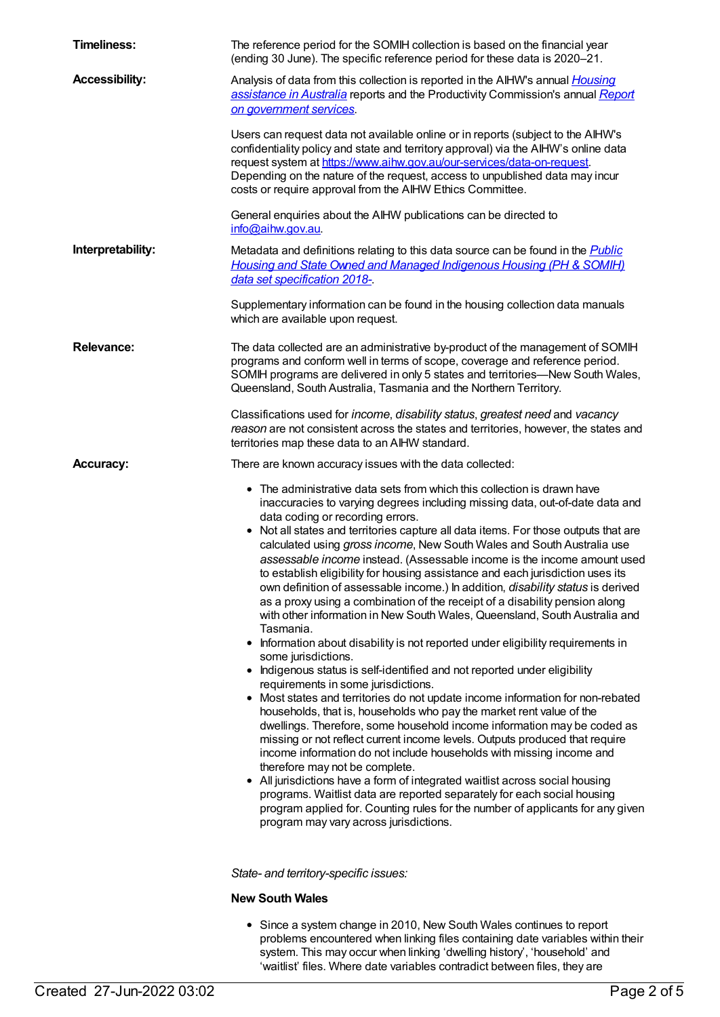| <b>Timeliness:</b>    | The reference period for the SOMIH collection is based on the financial year<br>(ending 30 June). The specific reference period for these data is 2020-21.                                                                                                                                                                                                                                                                                                                                                                                                                                                                                                                                                                                                                                                                                                                                                                                                                                                                                                                                                                                                                                                                                                                                                                                                                                                                                                                                                                                                                                                                                                                                                                                    |
|-----------------------|-----------------------------------------------------------------------------------------------------------------------------------------------------------------------------------------------------------------------------------------------------------------------------------------------------------------------------------------------------------------------------------------------------------------------------------------------------------------------------------------------------------------------------------------------------------------------------------------------------------------------------------------------------------------------------------------------------------------------------------------------------------------------------------------------------------------------------------------------------------------------------------------------------------------------------------------------------------------------------------------------------------------------------------------------------------------------------------------------------------------------------------------------------------------------------------------------------------------------------------------------------------------------------------------------------------------------------------------------------------------------------------------------------------------------------------------------------------------------------------------------------------------------------------------------------------------------------------------------------------------------------------------------------------------------------------------------------------------------------------------------|
| <b>Accessibility:</b> | Analysis of data from this collection is reported in the AIHW's annual <i>Housing</i><br>assistance in Australia reports and the Productivity Commission's annual Report<br>on government services                                                                                                                                                                                                                                                                                                                                                                                                                                                                                                                                                                                                                                                                                                                                                                                                                                                                                                                                                                                                                                                                                                                                                                                                                                                                                                                                                                                                                                                                                                                                            |
|                       | Users can request data not available online or in reports (subject to the AIHW's<br>confidentiality policy and state and territory approval) via the AIHW's online data<br>request system at https://www.aihw.gov.au/our-services/data-on-request.<br>Depending on the nature of the request, access to unpublished data may incur<br>costs or require approval from the AIHW Ethics Committee.                                                                                                                                                                                                                                                                                                                                                                                                                                                                                                                                                                                                                                                                                                                                                                                                                                                                                                                                                                                                                                                                                                                                                                                                                                                                                                                                               |
|                       | General enquiries about the AIHW publications can be directed to<br>info@aihw.gov.au.                                                                                                                                                                                                                                                                                                                                                                                                                                                                                                                                                                                                                                                                                                                                                                                                                                                                                                                                                                                                                                                                                                                                                                                                                                                                                                                                                                                                                                                                                                                                                                                                                                                         |
| Interpretability:     | Metadata and definitions relating to this data source can be found in the <b>Public</b><br><b>Housing and State Owned and Managed Indigenous Housing (PH &amp; SOMIH)</b><br>data set specification 2018-.                                                                                                                                                                                                                                                                                                                                                                                                                                                                                                                                                                                                                                                                                                                                                                                                                                                                                                                                                                                                                                                                                                                                                                                                                                                                                                                                                                                                                                                                                                                                    |
|                       | Supplementary information can be found in the housing collection data manuals<br>which are available upon request.                                                                                                                                                                                                                                                                                                                                                                                                                                                                                                                                                                                                                                                                                                                                                                                                                                                                                                                                                                                                                                                                                                                                                                                                                                                                                                                                                                                                                                                                                                                                                                                                                            |
| <b>Relevance:</b>     | The data collected are an administrative by-product of the management of SOMIH<br>programs and conform well in terms of scope, coverage and reference period.<br>SOMIH programs are delivered in only 5 states and territories—New South Wales,<br>Queensland, South Australia, Tasmania and the Northern Territory.                                                                                                                                                                                                                                                                                                                                                                                                                                                                                                                                                                                                                                                                                                                                                                                                                                                                                                                                                                                                                                                                                                                                                                                                                                                                                                                                                                                                                          |
|                       | Classifications used for income, disability status, greatest need and vacancy<br>reason are not consistent across the states and territories, however, the states and<br>territories map these data to an AIHW standard.                                                                                                                                                                                                                                                                                                                                                                                                                                                                                                                                                                                                                                                                                                                                                                                                                                                                                                                                                                                                                                                                                                                                                                                                                                                                                                                                                                                                                                                                                                                      |
| <b>Accuracy:</b>      | There are known accuracy issues with the data collected:                                                                                                                                                                                                                                                                                                                                                                                                                                                                                                                                                                                                                                                                                                                                                                                                                                                                                                                                                                                                                                                                                                                                                                                                                                                                                                                                                                                                                                                                                                                                                                                                                                                                                      |
|                       | • The administrative data sets from which this collection is drawn have<br>inaccuracies to varying degrees including missing data, out-of-date data and<br>data coding or recording errors.<br>• Not all states and territories capture all data items. For those outputs that are<br>calculated using gross income, New South Wales and South Australia use<br>assessable income instead. (Assessable income is the income amount used<br>to establish eligibility for housing assistance and each jurisdiction uses its<br>own definition of assessable income.) In addition, <i>disability status</i> is derived<br>as a proxy using a combination of the receipt of a disability pension along<br>with other information in New South Wales, Queensland, South Australia and<br>Tasmania.<br>Information about disability is not reported under eligibility requirements in<br>some jurisdictions.<br>Indigenous status is self-identified and not reported under eligibility<br>requirements in some jurisdictions.<br>• Most states and territories do not update income information for non-rebated<br>households, that is, households who pay the market rent value of the<br>dwellings. Therefore, some household income information may be coded as<br>missing or not reflect current income levels. Outputs produced that require<br>income information do not include households with missing income and<br>therefore may not be complete.<br>• All jurisdictions have a form of integrated waitlist across social housing<br>programs. Waitlist data are reported separately for each social housing<br>program applied for. Counting rules for the number of applicants for any given<br>program may vary across jurisdictions. |
|                       | State- and territory-specific issues:                                                                                                                                                                                                                                                                                                                                                                                                                                                                                                                                                                                                                                                                                                                                                                                                                                                                                                                                                                                                                                                                                                                                                                                                                                                                                                                                                                                                                                                                                                                                                                                                                                                                                                         |

#### **New South Wales**

Since a system change in 2010, New South Wales continues to report problems encountered when linking files containing date variables within their system. This may occur when linking 'dwelling history', 'household' and 'waitlist' files. Where date variables contradict between files, they are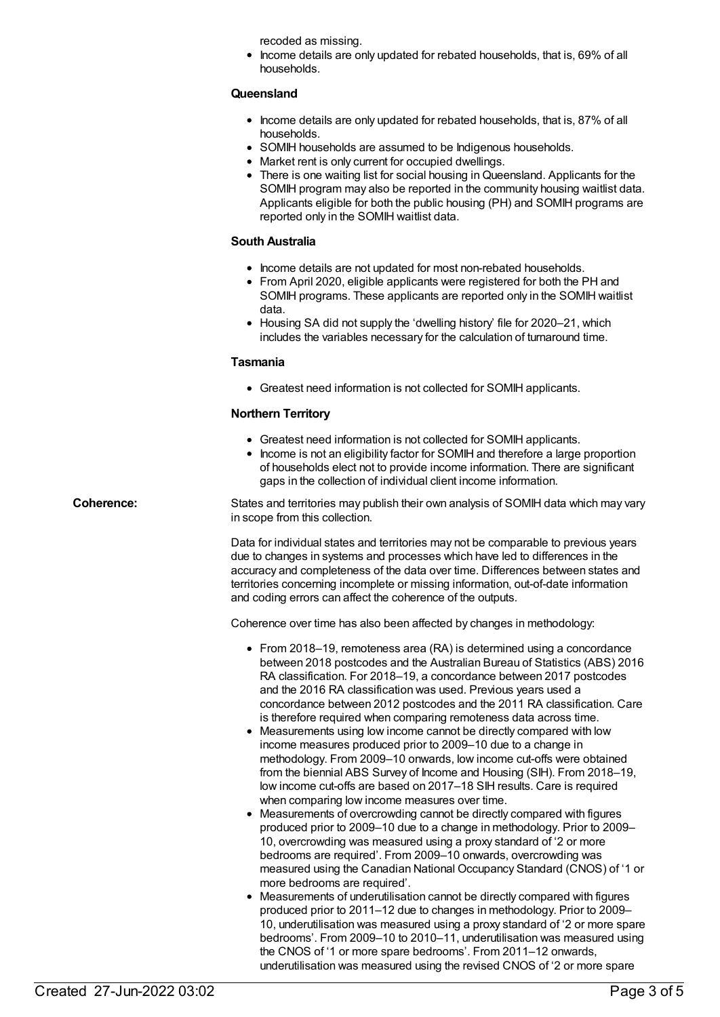recoded as missing.

• Income details are only updated for rebated households, that is, 69% of all households.

# **Queensland**

- Income details are only updated for rebated households, that is, 87% of all households.
- SOMIH households are assumed to be Indigenous households.
- Market rent is only current for occupied dwellings.
- There is one waiting list for social housing in Queensland. Applicants for the SOMIH program may also be reported in the community housing waitlist data. Applicants eligible for both the public housing (PH) and SOMIH programs are reported only in the SOMIH waitlist data.

## **South Australia**

- Income details are not updated for most non-rebated households.
- From April 2020, eligible applicants were registered for both the PH and SOMIH programs. These applicants are reported only in the SOMIH waitlist data.
- Housing SA did not supply the 'dwelling history' file for 2020–21, which includes the variables necessary for the calculation of turnaround time.

## **Tasmania**

Greatest need information is not collected for SOMIH applicants.

## **Northern Territory**

- Greatest need information is not collected for SOMIH applicants.
- Income is not an eligibility factor for SOMIH and therefore a large proportion of households elect not to provide income information. There are significant gaps in the collection of individual client income information.

**Coherence:** States and territories may publish their own analysis of SOMIH data which may vary in scope from this collection.

> Data for individual states and territories may not be comparable to previous years due to changes in systems and processes which have led to differences in the accuracy and completeness of the data over time. Differences between states and territories concerning incomplete or missing information, out-of-date information and coding errors can affect the coherence of the outputs.

Coherence over time has also been affected by changes in methodology:

- From 2018–19, remoteness area (RA) is determined using a concordance between 2018 postcodes and the Australian Bureau of Statistics (ABS) 2016 RA classification. For 2018–19, a concordance between 2017 postcodes and the 2016 RA classification was used. Previous years used a concordance between 2012 postcodes and the 2011 RA classification. Care is therefore required when comparing remoteness data across time.
- Measurements using low income cannot be directly compared with low income measures produced prior to 2009–10 due to a change in methodology. From 2009–10 onwards, low income cut-offs were obtained from the biennial ABS Survey of Income and Housing (SIH). From 2018–19, low income cut-offs are based on 2017–18 SIH results. Care is required when comparing low income measures over time.
- Measurements of overcrowding cannot be directly compared with figures produced prior to 2009–10 due to a change in methodology. Prior to 2009– 10, overcrowding was measured using a proxy standard of '2 or more bedrooms are required'. From 2009–10 onwards, overcrowding was measured using the Canadian National Occupancy Standard (CNOS) of '1 or more bedrooms are required'.
- Measurements of underutilisation cannot be directly compared with figures produced prior to 2011–12 due to changes in methodology. Prior to 2009– 10, underutilisation was measured using a proxy standard of '2 or more spare bedrooms'. From 2009–10 to 2010–11, underutilisation was measured using the CNOS of '1 or more spare bedrooms'. From 2011–12 onwards, underutilisation was measured using the revised CNOS of '2 or more spare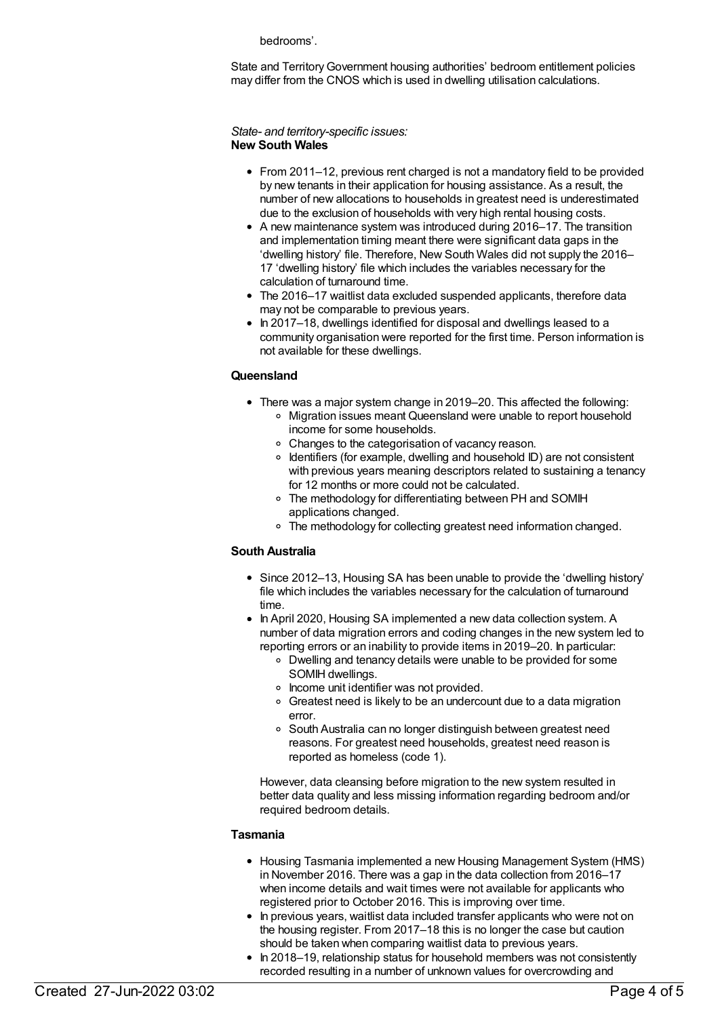bedrooms'.

State and TerritoryGovernment housing authorities' bedroom entitlement policies may differ from the CNOS which is used in dwelling utilisation calculations.

#### *State- and territory-specific issues:* **New South Wales**

- From 2011–12, previous rent charged is not a mandatory field to be provided by new tenants in their application for housing assistance. As a result, the number of new allocations to households in greatest need is underestimated due to the exclusion of households with very high rental housing costs.
- A new maintenance system was introduced during 2016–17. The transition and implementation timing meant there were significant data gaps in the 'dwelling history' file. Therefore, New South Wales did not supply the 2016– 17 'dwelling history' file which includes the variables necessary for the calculation of turnaround time.
- The 2016–17 waitlist data excluded suspended applicants, therefore data may not be comparable to previous years.
- In 2017–18, dwellings identified for disposal and dwellings leased to a community organisation were reported for the first time. Person information is not available for these dwellings.

## **Queensland**

- There was a major system change in 2019–20. This affected the following: Migration issues meant Queensland were unable to report household income for some households.
	- Changes to the categorisation of vacancy reason.
	- $\circ$  Identifiers (for example, dwelling and household ID) are not consistent with previous years meaning descriptors related to sustaining a tenancy for 12 months or more could not be calculated.
	- The methodology for differentiating between PH and SOMIH applications changed.
	- The methodology for collecting greatest need information changed.

# **South Australia**

- Since 2012–13, Housing SA has been unable to provide the 'dwelling history' file which includes the variables necessary for the calculation of turnaround time.
- In April 2020, Housing SA implemented a new data collection system. A number of data migration errors and coding changes in the new system led to reporting errors or an inability to provide items in 2019–20. In particular:
	- Dwelling and tenancy details were unable to be provided for some SOMIH dwellings.
	- o Income unit identifier was not provided.
	- Greatest need is likely to be an undercount due to a data migration error.
	- South Australia can no longer distinguish between greatest need reasons. For greatest need households, greatest need reason is reported as homeless (code 1).

However, data cleansing before migration to the new system resulted in better data quality and less missing information regarding bedroom and/or required bedroom details.

#### **Tasmania**

- Housing Tasmania implemented a new Housing Management System (HMS) in November 2016. There was a gap in the data collection from 2016–17 when income details and wait times were not available for applicants who registered prior to October 2016. This is improving over time.
- In previous years, waitlist data included transfer applicants who were not on the housing register. From 2017–18 this is no longer the case but caution should be taken when comparing waitlist data to previous years.
- In 2018–19, relationship status for household members was not consistently recorded resulting in a number of unknown values for overcrowding and